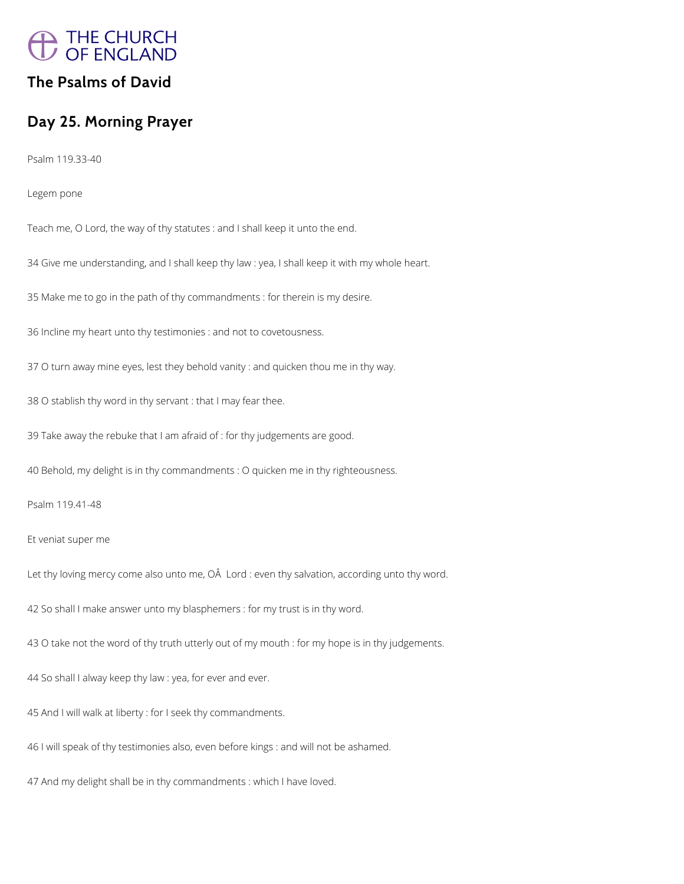

# **The Psalms of David**

# **Day 25. Morning Prayer**

Psalm 119.33-40

Legem pone

Teach me, O Lord, the way of thy statutes : and I shall keep it unto the end.

34 Give me understanding, and I shall keep thy law : yea, I shall keep it with my whole heart.

35 Make me to go in the path of thy commandments : for therein is my desire.

36 Incline my heart unto thy testimonies : and not to covetousness.

37 O turn away mine eyes, lest they behold vanity : and quicken thou me in thy way.

38 O stablish thy word in thy servant : that I may fear thee.

39 Take away the rebuke that I am afraid of : for thy judgements are good.

40 Behold, my delight is in thy commandments : O quicken me in thy righteousness.

Psalm 119.41-48

Et veniat super me

Let thy loving mercy come also unto me, OÂ Lord : even thy salvation, according unto thy word.

42 So shall I make answer unto my blasphemers : for my trust is in thy word.

43 O take not the word of thy truth utterly out of my mouth : for my hope is in thy judgements.

44 So shall I alway keep thy law : yea, for ever and ever.

45 And I will walk at liberty : for I seek thy commandments.

46 I will speak of thy testimonies also, even before kings : and will not be ashamed.

47 And my delight shall be in thy commandments : which I have loved.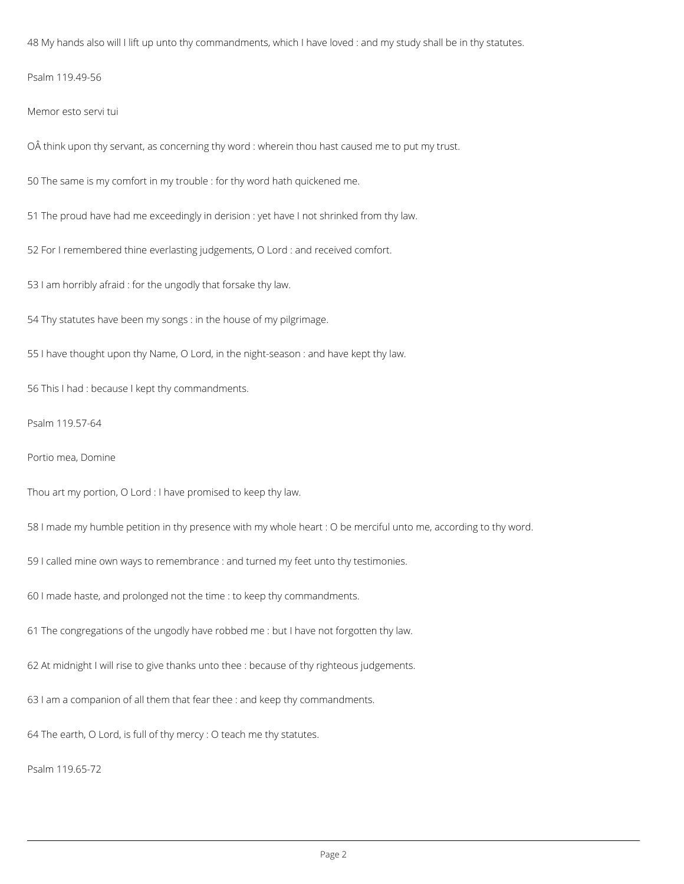48 My hands also will I lift up unto thy commandments, which I have loved : and my study shall be in thy statutes.

Psalm 119.49-56

Memor esto servi tui

OÂ think upon thy servant, as concerning thy word : wherein thou hast caused me to put my trust.

50 The same is my comfort in my trouble : for thy word hath quickened me.

51 The proud have had me exceedingly in derision : yet have I not shrinked from thy law.

52 For I remembered thine everlasting judgements, O Lord : and received comfort.

53 I am horribly afraid : for the ungodly that forsake thy law.

54 Thy statutes have been my songs : in the house of my pilgrimage.

55 I have thought upon thy Name, O Lord, in the night-season : and have kept thy law.

56 This I had : because I kept thy commandments.

Psalm 119.57-64

Portio mea, Domine

Thou art my portion, O Lord : I have promised to keep thy law.

58 I made my humble petition in thy presence with my whole heart : O be merciful unto me, according to thy word.

59 I called mine own ways to remembrance : and turned my feet unto thy testimonies.

60 I made haste, and prolonged not the time : to keep thy commandments.

61 The congregations of the ungodly have robbed me : but I have not forgotten thy law.

62 At midnight I will rise to give thanks unto thee : because of thy righteous judgements.

63 I am a companion of all them that fear thee : and keep thy commandments.

64 The earth, O Lord, is full of thy mercy : O teach me thy statutes.

Psalm 119.65-72